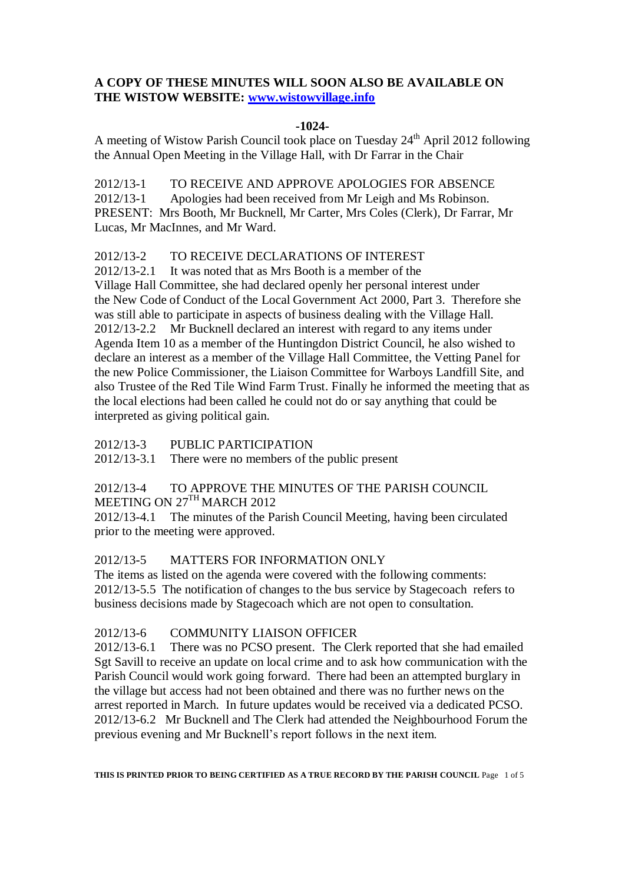# **A COPY OF THESE MINUTES WILL SOON ALSO BE AVAILABLE ON THE WISTOW WEBSITE: [www.wistowvillage.info](http://www.wistowvillage.info/)**

## **-1024-**

A meeting of Wistow Parish Council took place on Tuesday 24<sup>th</sup> April 2012 following the Annual Open Meeting in the Village Hall, with Dr Farrar in the Chair

2012/13-1 TO RECEIVE AND APPROVE APOLOGIES FOR ABSENCE 2012/13-1 Apologies had been received from Mr Leigh and Ms Robinson. PRESENT: Mrs Booth, Mr Bucknell, Mr Carter, Mrs Coles (Clerk), Dr Farrar, Mr Lucas, Mr MacInnes, and Mr Ward.

#### 2012/13-2 TO RECEIVE DECLARATIONS OF INTEREST

2012/13-2.1 It was noted that as Mrs Booth is a member of the Village Hall Committee, she had declared openly her personal interest under the New Code of Conduct of the Local Government Act 2000, Part 3. Therefore she was still able to participate in aspects of business dealing with the Village Hall. 2012/13-2.2 Mr Bucknell declared an interest with regard to any items under Agenda Item 10 as a member of the Huntingdon District Council, he also wished to declare an interest as a member of the Village Hall Committee, the Vetting Panel for the new Police Commissioner, the Liaison Committee for Warboys Landfill Site, and also Trustee of the Red Tile Wind Farm Trust. Finally he informed the meeting that as the local elections had been called he could not do or say anything that could be interpreted as giving political gain.

2012/13-3 PUBLIC PARTICIPATION

2012/13-3.1 There were no members of the public present

### 2012/13-4 TO APPROVE THE MINUTES OF THE PARISH COUNCIL MEETING ON 27<sup>TH</sup> MARCH 2012

2012/13-4.1 The minutes of the Parish Council Meeting, having been circulated prior to the meeting were approved.

## 2012/13-5 MATTERS FOR INFORMATION ONLY

The items as listed on the agenda were covered with the following comments: 2012/13-5.5 The notification of changes to the bus service by Stagecoach refers to business decisions made by Stagecoach which are not open to consultation.

## 2012/13-6 COMMUNITY LIAISON OFFICER

2012/13-6.1 There was no PCSO present. The Clerk reported that she had emailed Sgt Savill to receive an update on local crime and to ask how communication with the Parish Council would work going forward. There had been an attempted burglary in the village but access had not been obtained and there was no further news on the arrest reported in March. In future updates would be received via a dedicated PCSO. 2012/13-6.2 Mr Bucknell and The Clerk had attended the Neighbourhood Forum the previous evening and Mr Bucknell's report follows in the next item.

**THIS IS PRINTED PRIOR TO BEING CERTIFIED AS A TRUE RECORD BY THE PARISH COUNCIL** Page 1 of 5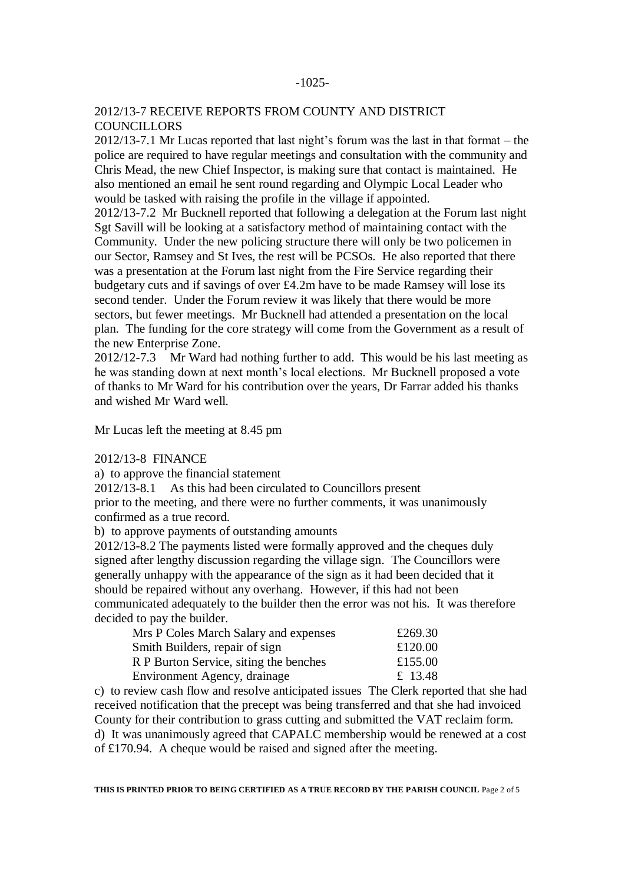## 2012/13-7 RECEIVE REPORTS FROM COUNTY AND DISTRICT **COUNCILLORS**

2012/13-7.1 Mr Lucas reported that last night's forum was the last in that format – the police are required to have regular meetings and consultation with the community and Chris Mead, the new Chief Inspector, is making sure that contact is maintained. He also mentioned an email he sent round regarding and Olympic Local Leader who would be tasked with raising the profile in the village if appointed.

2012/13-7.2 Mr Bucknell reported that following a delegation at the Forum last night Sgt Savill will be looking at a satisfactory method of maintaining contact with the Community. Under the new policing structure there will only be two policemen in our Sector, Ramsey and St Ives, the rest will be PCSOs. He also reported that there was a presentation at the Forum last night from the Fire Service regarding their budgetary cuts and if savings of over £4.2m have to be made Ramsey will lose its second tender. Under the Forum review it was likely that there would be more sectors, but fewer meetings. Mr Bucknell had attended a presentation on the local plan. The funding for the core strategy will come from the Government as a result of the new Enterprise Zone.

2012/12-7.3 Mr Ward had nothing further to add. This would be his last meeting as he was standing down at next month's local elections. Mr Bucknell proposed a vote of thanks to Mr Ward for his contribution over the years, Dr Farrar added his thanks and wished Mr Ward well.

Mr Lucas left the meeting at 8.45 pm

#### 2012/13-8 FINANCE

a) to approve the financial statement

2012/13-8.1 As this had been circulated to Councillors present

prior to the meeting, and there were no further comments, it was unanimously confirmed as a true record.

b) to approve payments of outstanding amounts

2012/13-8.2 The payments listed were formally approved and the cheques duly signed after lengthy discussion regarding the village sign. The Councillors were generally unhappy with the appearance of the sign as it had been decided that it should be repaired without any overhang. However, if this had not been communicated adequately to the builder then the error was not his. It was therefore decided to pay the builder.

| Mrs P Coles March Salary and expenses  | £269.30 |
|----------------------------------------|---------|
| Smith Builders, repair of sign         | £120.00 |
| R P Burton Service, siting the benches | £155.00 |
| Environment Agency, drainage           | £ 13.48 |

c) to review cash flow and resolve anticipated issues The Clerk reported that she had received notification that the precept was being transferred and that she had invoiced County for their contribution to grass cutting and submitted the VAT reclaim form. d) It was unanimously agreed that CAPALC membership would be renewed at a cost of £170.94. A cheque would be raised and signed after the meeting.

**THIS IS PRINTED PRIOR TO BEING CERTIFIED AS A TRUE RECORD BY THE PARISH COUNCIL** Page 2 of 5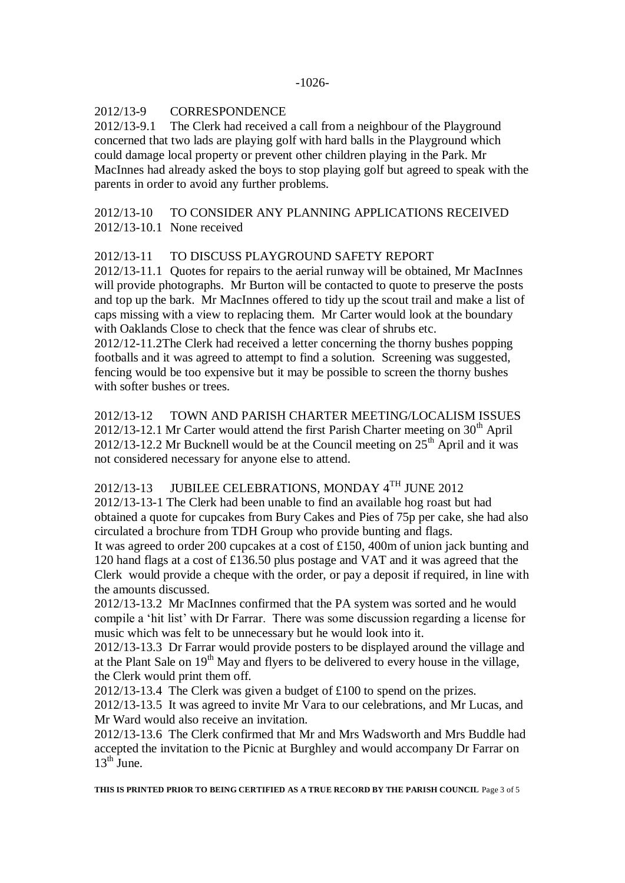## 2012/13-9 CORRESPONDENCE

2012/13-9.1 The Clerk had received a call from a neighbour of the Playground concerned that two lads are playing golf with hard balls in the Playground which could damage local property or prevent other children playing in the Park. Mr MacInnes had already asked the boys to stop playing golf but agreed to speak with the parents in order to avoid any further problems.

# 2012/13-10 TO CONSIDER ANY PLANNING APPLICATIONS RECEIVED 2012/13-10.1 None received

## 2012/13-11 TO DISCUSS PLAYGROUND SAFETY REPORT

2012/13-11.1 Quotes for repairs to the aerial runway will be obtained, Mr MacInnes will provide photographs. Mr Burton will be contacted to quote to preserve the posts and top up the bark. Mr MacInnes offered to tidy up the scout trail and make a list of caps missing with a view to replacing them. Mr Carter would look at the boundary with Oaklands Close to check that the fence was clear of shrubs etc.

2012/12-11.2The Clerk had received a letter concerning the thorny bushes popping footballs and it was agreed to attempt to find a solution. Screening was suggested, fencing would be too expensive but it may be possible to screen the thorny bushes with softer bushes or trees.

2012/13-12 TOWN AND PARISH CHARTER MEETING/LOCALISM ISSUES  $2012/13-12.1$  Mr Carter would attend the first Parish Charter meeting on  $30<sup>th</sup>$  April  $2012/13-12.2$  Mr Bucknell would be at the Council meeting on  $25<sup>th</sup>$  April and it was not considered necessary for anyone else to attend.

## 2012/13-13 JUBILEE CELEBRATIONS, MONDAY 4<sup>TH</sup> JUNE 2012

2012/13-13-1 The Clerk had been unable to find an available hog roast but had obtained a quote for cupcakes from Bury Cakes and Pies of 75p per cake, she had also circulated a brochure from TDH Group who provide bunting and flags.

It was agreed to order 200 cupcakes at a cost of £150, 400m of union jack bunting and 120 hand flags at a cost of £136.50 plus postage and VAT and it was agreed that the Clerk would provide a cheque with the order, or pay a deposit if required, in line with the amounts discussed.

2012/13-13.2 Mr MacInnes confirmed that the PA system was sorted and he would compile a 'hit list' with Dr Farrar. There was some discussion regarding a license for music which was felt to be unnecessary but he would look into it.

2012/13-13.3 Dr Farrar would provide posters to be displayed around the village and at the Plant Sale on  $19<sup>th</sup>$  May and flyers to be delivered to every house in the village, the Clerk would print them off.

2012/13-13.4 The Clerk was given a budget of £100 to spend on the prizes.

2012/13-13.5 It was agreed to invite Mr Vara to our celebrations, and Mr Lucas, and Mr Ward would also receive an invitation.

2012/13-13.6 The Clerk confirmed that Mr and Mrs Wadsworth and Mrs Buddle had accepted the invitation to the Picnic at Burghley and would accompany Dr Farrar on  $13<sup>th</sup>$  June.

**THIS IS PRINTED PRIOR TO BEING CERTIFIED AS A TRUE RECORD BY THE PARISH COUNCIL** Page 3 of 5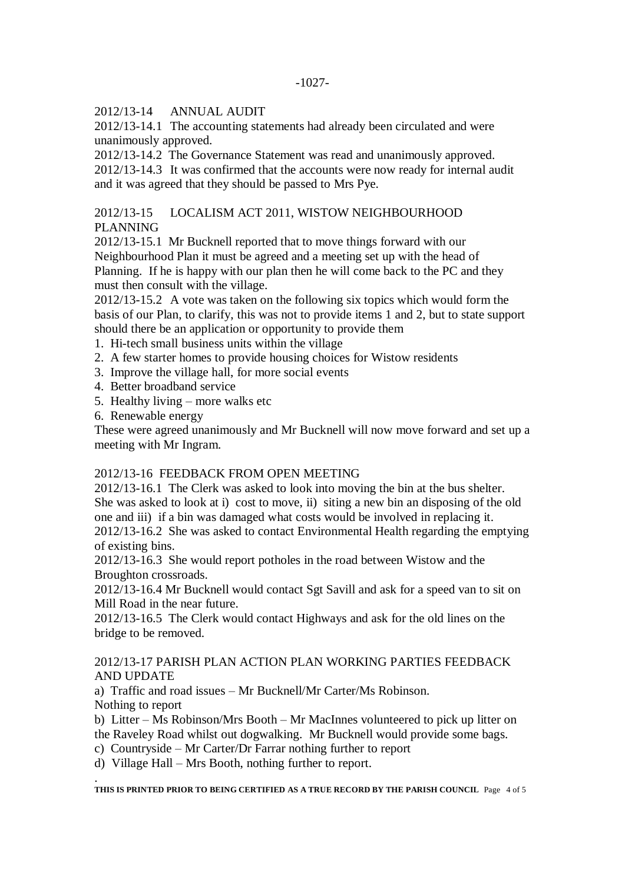2012/13-14 ANNUAL AUDIT

2012/13-14.1 The accounting statements had already been circulated and were unanimously approved.

2012/13-14.2 The Governance Statement was read and unanimously approved. 2012/13-14.3 It was confirmed that the accounts were now ready for internal audit and it was agreed that they should be passed to Mrs Pye.

# 2012/13-15 LOCALISM ACT 2011, WISTOW NEIGHBOURHOOD PLANNING

2012/13-15.1 Mr Bucknell reported that to move things forward with our Neighbourhood Plan it must be agreed and a meeting set up with the head of Planning. If he is happy with our plan then he will come back to the PC and they must then consult with the village.

2012/13-15.2 A vote was taken on the following six topics which would form the basis of our Plan, to clarify, this was not to provide items 1 and 2, but to state support should there be an application or opportunity to provide them

- 1. Hi-tech small business units within the village
- 2. A few starter homes to provide housing choices for Wistow residents
- 3. Improve the village hall, for more social events
- 4. Better broadband service
- 5. Healthy living more walks etc
- 6. Renewable energy

These were agreed unanimously and Mr Bucknell will now move forward and set up a meeting with Mr Ingram.

## 2012/13-16 FEEDBACK FROM OPEN MEETING

2012/13-16.1 The Clerk was asked to look into moving the bin at the bus shelter. She was asked to look at i) cost to move, ii) siting a new bin an disposing of the old one and iii) if a bin was damaged what costs would be involved in replacing it.

2012/13-16.2 She was asked to contact Environmental Health regarding the emptying of existing bins.

2012/13-16.3 She would report potholes in the road between Wistow and the Broughton crossroads.

2012/13-16.4 Mr Bucknell would contact Sgt Savill and ask for a speed van to sit on Mill Road in the near future.

2012/13-16.5 The Clerk would contact Highways and ask for the old lines on the bridge to be removed.

## 2012/13-17 PARISH PLAN ACTION PLAN WORKING PARTIES FEEDBACK AND UPDATE

a) Traffic and road issues – Mr Bucknell/Mr Carter/Ms Robinson. Nothing to report

b) Litter – Ms Robinson/Mrs Booth – Mr MacInnes volunteered to pick up litter on the Raveley Road whilst out dogwalking. Mr Bucknell would provide some bags.

c) Countryside – Mr Carter/Dr Farrar nothing further to report

d) Village Hall – Mrs Booth, nothing further to report.

. **THIS IS PRINTED PRIOR TO BEING CERTIFIED AS A TRUE RECORD BY THE PARISH COUNCIL** Page 4 of 5